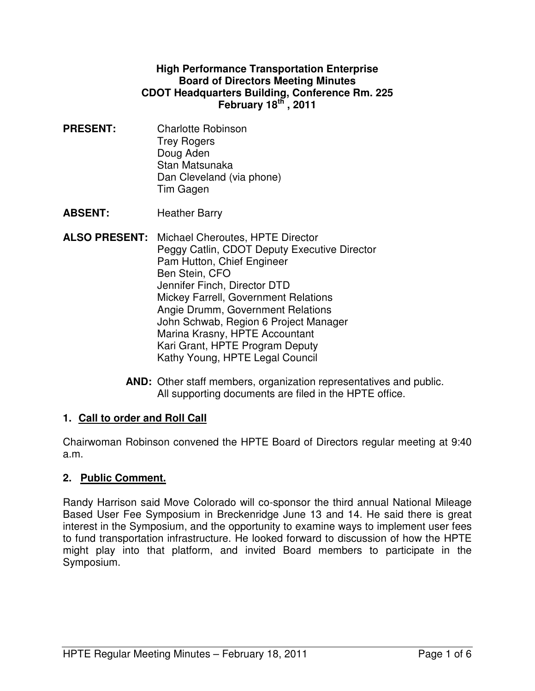#### **High Performance Transportation Enterprise Board of Directors Meeting Minutes CDOT Headquarters Building, Conference Rm. 225 February 18th , 2011**

**PRESENT:** Charlotte Robinson Trey Rogers Doug Aden Stan Matsunaka Dan Cleveland (via phone) Tim Gagen

**ABSENT:** Heather Barry

- **ALSO PRESENT:** Michael Cheroutes, HPTE Director Peggy Catlin, CDOT Deputy Executive Director Pam Hutton, Chief Engineer Ben Stein, CFO Jennifer Finch, Director DTD Mickey Farrell, Government Relations Angie Drumm, Government Relations John Schwab, Region 6 Project Manager Marina Krasny, HPTE Accountant Kari Grant, HPTE Program Deputy Kathy Young, HPTE Legal Council
	- **AND:** Other staff members, organization representatives and public. All supporting documents are filed in the HPTE office.

# **1. Call to order and Roll Call**

Chairwoman Robinson convened the HPTE Board of Directors regular meeting at 9:40 a.m.

### **2. Public Comment.**

Randy Harrison said Move Colorado will co-sponsor the third annual National Mileage Based User Fee Symposium in Breckenridge June 13 and 14. He said there is great interest in the Symposium, and the opportunity to examine ways to implement user fees to fund transportation infrastructure. He looked forward to discussion of how the HPTE might play into that platform, and invited Board members to participate in the Symposium.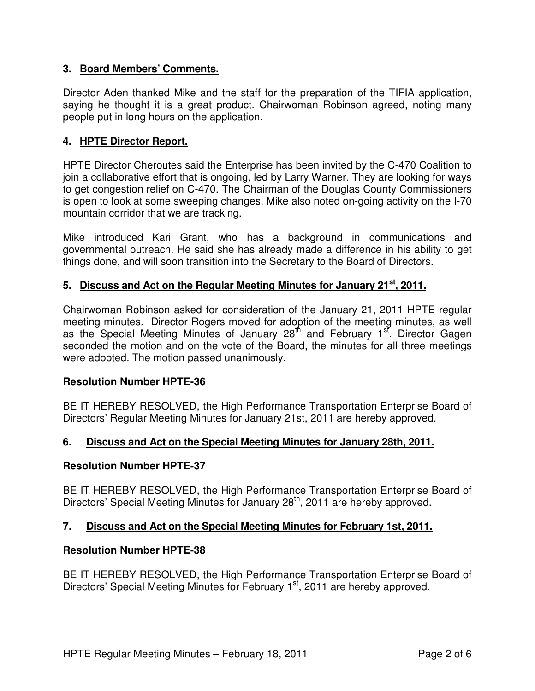## **3. Board Members' Comments.**

Director Aden thanked Mike and the staff for the preparation of the TIFIA application, saying he thought it is a great product. Chairwoman Robinson agreed, noting many people put in long hours on the application.

## **4. HPTE Director Report.**

HPTE Director Cheroutes said the Enterprise has been invited by the C-470 Coalition to join a collaborative effort that is ongoing, led by Larry Warner. They are looking for ways to get congestion relief on C-470. The Chairman of the Douglas County Commissioners is open to look at some sweeping changes. Mike also noted on-going activity on the I-70 mountain corridor that we are tracking.

Mike introduced Kari Grant, who has a background in communications and governmental outreach. He said she has already made a difference in his ability to get things done, and will soon transition into the Secretary to the Board of Directors.

### **5. Discuss and Act on the Regular Meeting Minutes for January 21st, 2011.**

Chairwoman Robinson asked for consideration of the January 21, 2011 HPTE regular meeting minutes. Director Rogers moved for adoption of the meeting minutes, as well as the Special Meeting Minutes of January 28<sup>th</sup> and February 1<sup>st</sup>. Director Gagen seconded the motion and on the vote of the Board, the minutes for all three meetings were adopted. The motion passed unanimously.

### **Resolution Number HPTE-36**

BE IT HEREBY RESOLVED, the High Performance Transportation Enterprise Board of Directors' Regular Meeting Minutes for January 21st, 2011 are hereby approved.

### **6. Discuss and Act on the Special Meeting Minutes for January 28th, 2011.**

#### **Resolution Number HPTE-37**

BE IT HEREBY RESOLVED, the High Performance Transportation Enterprise Board of Directors' Special Meeting Minutes for January 28<sup>th</sup>, 2011 are hereby approved.

### **7. Discuss and Act on the Special Meeting Minutes for February 1st, 2011.**

### **Resolution Number HPTE-38**

BE IT HEREBY RESOLVED, the High Performance Transportation Enterprise Board of Directors' Special Meeting Minutes for February 1<sup>st</sup>, 2011 are hereby approved.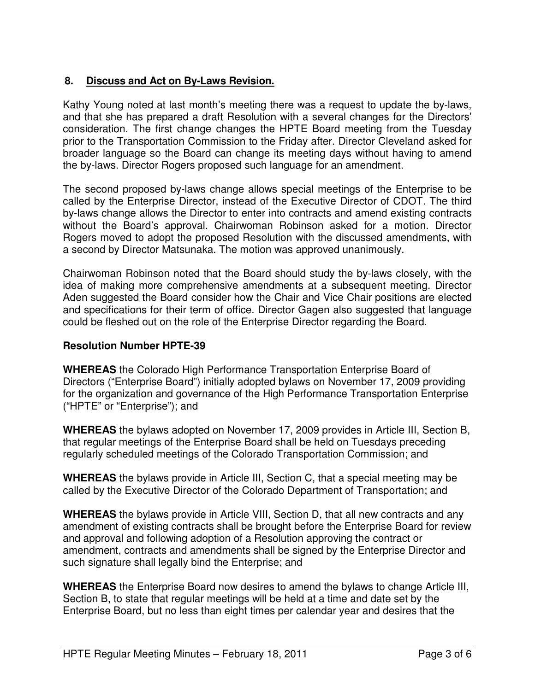# **8. Discuss and Act on By-Laws Revision.**

Kathy Young noted at last month's meeting there was a request to update the by-laws, and that she has prepared a draft Resolution with a several changes for the Directors' consideration. The first change changes the HPTE Board meeting from the Tuesday prior to the Transportation Commission to the Friday after. Director Cleveland asked for broader language so the Board can change its meeting days without having to amend the by-laws. Director Rogers proposed such language for an amendment.

The second proposed by-laws change allows special meetings of the Enterprise to be called by the Enterprise Director, instead of the Executive Director of CDOT. The third by-laws change allows the Director to enter into contracts and amend existing contracts without the Board's approval. Chairwoman Robinson asked for a motion. Director Rogers moved to adopt the proposed Resolution with the discussed amendments, with a second by Director Matsunaka. The motion was approved unanimously.

Chairwoman Robinson noted that the Board should study the by-laws closely, with the idea of making more comprehensive amendments at a subsequent meeting. Director Aden suggested the Board consider how the Chair and Vice Chair positions are elected and specifications for their term of office. Director Gagen also suggested that language could be fleshed out on the role of the Enterprise Director regarding the Board.

#### **Resolution Number HPTE-39**

**WHEREAS** the Colorado High Performance Transportation Enterprise Board of Directors ("Enterprise Board") initially adopted bylaws on November 17, 2009 providing for the organization and governance of the High Performance Transportation Enterprise ("HPTE" or "Enterprise"); and

**WHEREAS** the bylaws adopted on November 17, 2009 provides in Article III, Section B, that regular meetings of the Enterprise Board shall be held on Tuesdays preceding regularly scheduled meetings of the Colorado Transportation Commission; and

**WHEREAS** the bylaws provide in Article III, Section C, that a special meeting may be called by the Executive Director of the Colorado Department of Transportation; and

**WHEREAS** the bylaws provide in Article VIII, Section D, that all new contracts and any amendment of existing contracts shall be brought before the Enterprise Board for review and approval and following adoption of a Resolution approving the contract or amendment, contracts and amendments shall be signed by the Enterprise Director and such signature shall legally bind the Enterprise; and

**WHEREAS** the Enterprise Board now desires to amend the bylaws to change Article III, Section B, to state that regular meetings will be held at a time and date set by the Enterprise Board, but no less than eight times per calendar year and desires that the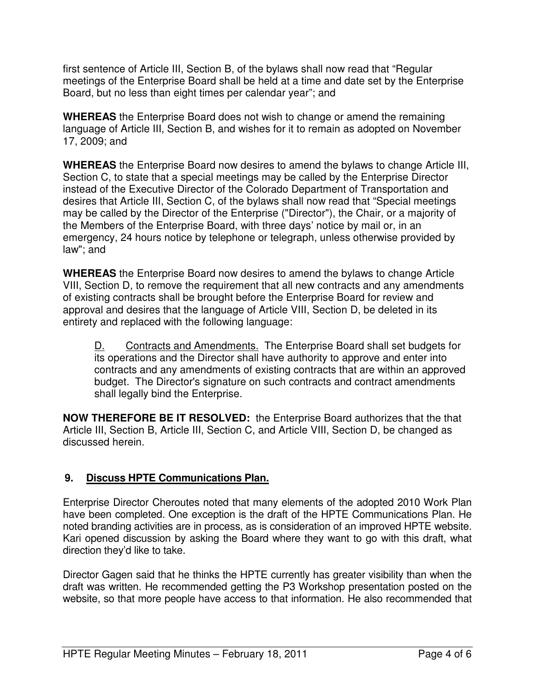first sentence of Article III, Section B, of the bylaws shall now read that "Regular meetings of the Enterprise Board shall be held at a time and date set by the Enterprise Board, but no less than eight times per calendar year"; and

**WHEREAS** the Enterprise Board does not wish to change or amend the remaining language of Article III, Section B, and wishes for it to remain as adopted on November 17, 2009; and

**WHEREAS** the Enterprise Board now desires to amend the bylaws to change Article III, Section C, to state that a special meetings may be called by the Enterprise Director instead of the Executive Director of the Colorado Department of Transportation and desires that Article III, Section C, of the bylaws shall now read that "Special meetings may be called by the Director of the Enterprise ("Director"), the Chair, or a majority of the Members of the Enterprise Board, with three days' notice by mail or, in an emergency, 24 hours notice by telephone or telegraph, unless otherwise provided by law"; and

**WHEREAS** the Enterprise Board now desires to amend the bylaws to change Article VIII, Section D, to remove the requirement that all new contracts and any amendments of existing contracts shall be brought before the Enterprise Board for review and approval and desires that the language of Article VIII, Section D, be deleted in its entirety and replaced with the following language:

D. Contracts and Amendments. The Enterprise Board shall set budgets for its operations and the Director shall have authority to approve and enter into contracts and any amendments of existing contracts that are within an approved budget. The Director's signature on such contracts and contract amendments shall legally bind the Enterprise.

**NOW THEREFORE BE IT RESOLVED:** the Enterprise Board authorizes that the that Article III, Section B, Article III, Section C, and Article VIII, Section D, be changed as discussed herein.

# **9. Discuss HPTE Communications Plan.**

Enterprise Director Cheroutes noted that many elements of the adopted 2010 Work Plan have been completed. One exception is the draft of the HPTE Communications Plan. He noted branding activities are in process, as is consideration of an improved HPTE website. Kari opened discussion by asking the Board where they want to go with this draft, what direction they'd like to take.

Director Gagen said that he thinks the HPTE currently has greater visibility than when the draft was written. He recommended getting the P3 Workshop presentation posted on the website, so that more people have access to that information. He also recommended that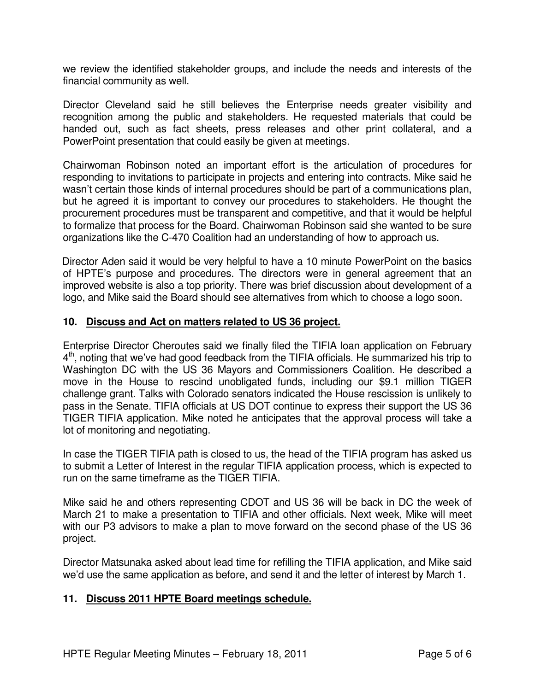we review the identified stakeholder groups, and include the needs and interests of the financial community as well.

Director Cleveland said he still believes the Enterprise needs greater visibility and recognition among the public and stakeholders. He requested materials that could be handed out, such as fact sheets, press releases and other print collateral, and a PowerPoint presentation that could easily be given at meetings.

Chairwoman Robinson noted an important effort is the articulation of procedures for responding to invitations to participate in projects and entering into contracts. Mike said he wasn't certain those kinds of internal procedures should be part of a communications plan, but he agreed it is important to convey our procedures to stakeholders. He thought the procurement procedures must be transparent and competitive, and that it would be helpful to formalize that process for the Board. Chairwoman Robinson said she wanted to be sure organizations like the C-470 Coalition had an understanding of how to approach us.

Director Aden said it would be very helpful to have a 10 minute PowerPoint on the basics of HPTE's purpose and procedures. The directors were in general agreement that an improved website is also a top priority. There was brief discussion about development of a logo, and Mike said the Board should see alternatives from which to choose a logo soon.

#### **10. Discuss and Act on matters related to US 36 project.**

Enterprise Director Cheroutes said we finally filed the TIFIA loan application on February 4<sup>th</sup>, noting that we've had good feedback from the TIFIA officials. He summarized his trip to Washington DC with the US 36 Mayors and Commissioners Coalition. He described a move in the House to rescind unobligated funds, including our \$9.1 million TIGER challenge grant. Talks with Colorado senators indicated the House rescission is unlikely to pass in the Senate. TIFIA officials at US DOT continue to express their support the US 36 TIGER TIFIA application. Mike noted he anticipates that the approval process will take a lot of monitoring and negotiating.

In case the TIGER TIFIA path is closed to us, the head of the TIFIA program has asked us to submit a Letter of Interest in the regular TIFIA application process, which is expected to run on the same timeframe as the TIGER TIFIA.

Mike said he and others representing CDOT and US 36 will be back in DC the week of March 21 to make a presentation to TIFIA and other officials. Next week, Mike will meet with our P3 advisors to make a plan to move forward on the second phase of the US 36 project.

Director Matsunaka asked about lead time for refilling the TIFIA application, and Mike said we'd use the same application as before, and send it and the letter of interest by March 1.

#### **11. Discuss 2011 HPTE Board meetings schedule.**